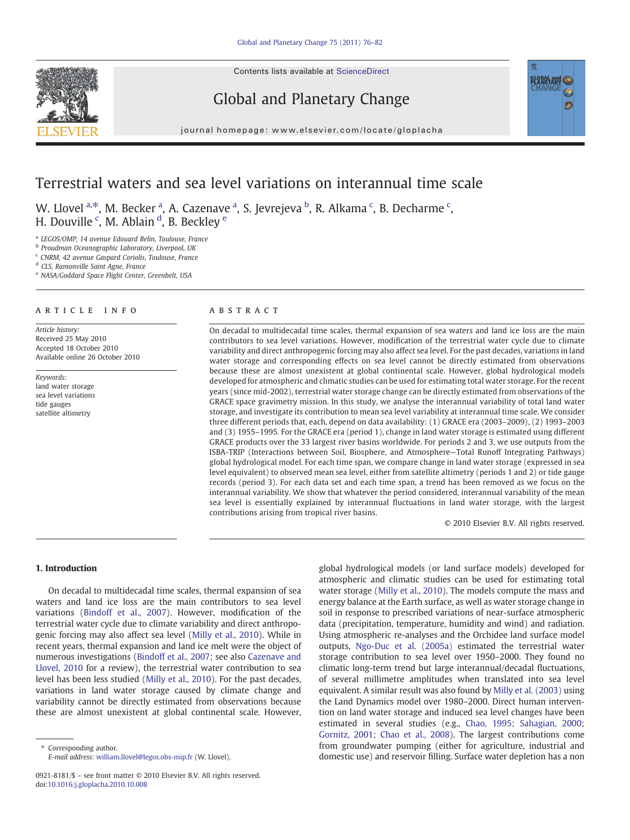Contents lists available at ScienceDirect







journal homepage: www.elsevier.com/locate/gloplacha

# Terrestrial waters and sea level variations on interannual time scale

W. Llovel <sup>a,\*</sup>, M. Becker <sup>a</sup>, A. Cazenave <sup>a</sup>, S. Jevrejeva <sup>b</sup>, R. Alkama <sup>c</sup>, B. Decharme <sup>c</sup>, H. Douville <sup>c</sup>, M. Ablain <sup>d</sup>, B. Beckley <sup>e</sup>

<sup>a</sup> LEGOS/OMP, 14 avenue Edouard Belin, Toulouse, France

**b** Proudman Oceanographic Laboratory, Liverpool, UK

<sup>c</sup> CNRM, 42 avenue Gaspard Coriolis, Toulouse, France

<sup>d</sup> CLS, Ramonville Saint Agne, France <sup>e</sup> NASA/Goddard Space Flight Center, Greenbelt, USA

Article history: Received 25 May 2010 Accepted 18 October 2010 Available online 26 October 2010

Keywords: land water storage sea level variations tide gauges satellite altimetry

# article info abstract

On decadal to multidecadal time scales, thermal expansion of sea waters and land ice loss are the main contributors to sea level variations. However, modification of the terrestrial water cycle due to climate variability and direct anthropogenic forcing may also affect sea level. For the past decades, variations in land water storage and corresponding effects on sea level cannot be directly estimated from observations because these are almost unexistent at global continental scale. However, global hydrological models developed for atmospheric and climatic studies can be used for estimating total water storage. For the recent years (since mid-2002), terrestrial water storage change can be directly estimated from observations of the GRACE space gravimetry mission. In this study, we analyse the interannual variability of total land water storage, and investigate its contribution to mean sea level variability at interannual time scale. We consider three different periods that, each, depend on data availability: (1) GRACE era (2003–2009), (2) 1993–2003 and (3) 1955–1995. For the GRACE era (period 1), change in land water storage is estimated using different GRACE products over the 33 largest river basins worldwide. For periods 2 and 3, we use outputs from the ISBA-TRIP (Interactions between Soil, Biosphere, and Atmosphere—Total Runoff Integrating Pathways) global hydrological model. For each time span, we compare change in land water storage (expressed in sea level equivalent) to observed mean sea level, either from satellite altimetry (periods 1 and 2) or tide gauge records (period 3). For each data set and each time span, a trend has been removed as we focus on the interannual variability. We show that whatever the period considered, interannual variability of the mean sea level is essentially explained by interannual fluctuations in land water storage, with the largest contributions arising from tropical river basins.

© 2010 Elsevier B.V. All rights reserved.

# 1. Introduction

On decadal to multidecadal time scales, thermal expansion of sea waters and land ice loss are the main contributors to sea level variations [\(Bindoff et al., 2007](#page-6-0)). However, modification of the terrestrial water cycle due to climate variability and direct anthropogenic forcing may also affect sea level ([Milly et al., 2010\)](#page-6-0). While in recent years, thermal expansion and land ice melt were the object of numerous investigations ([Bindoff et al., 2007](#page-6-0); see also [Cazenave and](#page-6-0) [Llovel, 2010](#page-6-0) for a review), the terrestrial water contribution to sea level has been less studied ([Milly et al., 2010\)](#page-6-0). For the past decades, variations in land water storage caused by climate change and variability cannot be directly estimated from observations because these are almost unexistent at global continental scale. However,

⁎ Corresponding author. E-mail address: [william.llovel@legos.obs-mip.fr](mailto:william.llovel@legos.obs-mip.fr) (W. Llovel). global hydrological models (or land surface models) developed for atmospheric and climatic studies can be used for estimating total water storage ([Milly et al., 2010](#page-6-0)). The models compute the mass and energy balance at the Earth surface, as well as water storage change in soil in response to prescribed variations of near-surface atmospheric data (precipitation, temperature, humidity and wind) and radiation. Using atmospheric re-analyses and the Orchidee land surface model outputs, [Ngo-Duc et al. \(2005a\)](#page-6-0) estimated the terrestrial water storage contribution to sea level over 1950–2000. They found no climatic long-term trend but large interannual/decadal fluctuations, of several millimetre amplitudes when translated into sea level equivalent. A similar result was also found by [Milly et al. \(2003\)](#page-6-0) using the Land Dynamics model over 1980–2000. Direct human intervention on land water storage and induced sea level changes have been estimated in several studies (e.g., [Chao, 1995; Sahagian, 2000;](#page-6-0) [Gornitz, 2001; Chao et al., 2008](#page-6-0)). The largest contributions come from groundwater pumping (either for agriculture, industrial and domestic use) and reservoir filling. Surface water depletion has a non

<sup>0921-8181/\$</sup> – see front matter © 2010 Elsevier B.V. All rights reserved. doi[:10.1016/j.gloplacha.2010.10.008](http://dx.doi.org/10.1016/j.gloplacha.2010.10.008)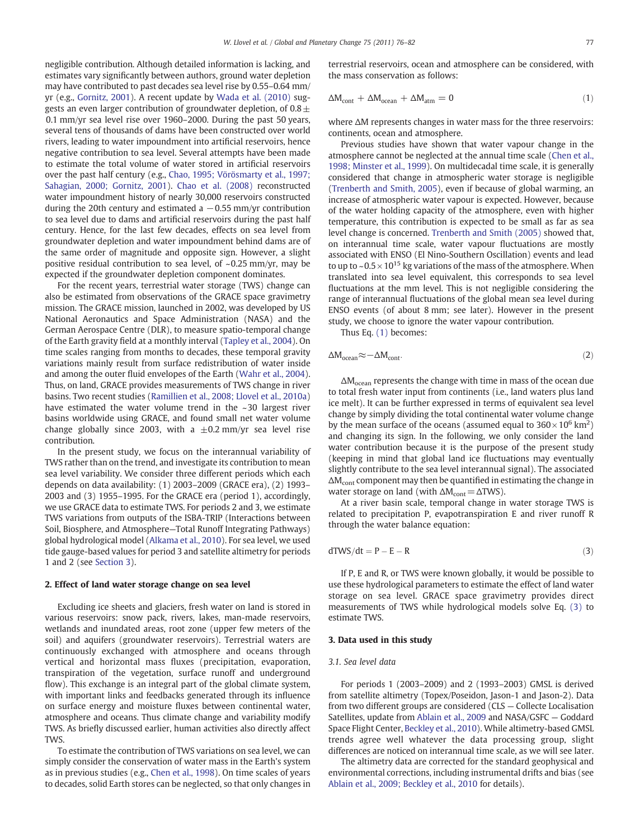<span id="page-1-0"></span>negligible contribution. Although detailed information is lacking, and estimates vary significantly between authors, ground water depletion may have contributed to past decades sea level rise by 0.55–0.64 mm/ yr (e.g., [Gornitz, 2001](#page-6-0)). A recent update by [Wada et al. \(2010\)](#page-6-0) suggests an even larger contribution of groundwater depletion, of  $0.8\pm$ 0.1 mm/yr sea level rise over 1960–2000. During the past 50 years, several tens of thousands of dams have been constructed over world rivers, leading to water impoundment into artificial reservoirs, hence negative contribution to sea level. Several attempts have been made to estimate the total volume of water stored in artificial reservoirs over the past half century (e.g., [Chao, 1995; Vörösmarty et al., 1997;](#page-6-0) [Sahagian, 2000; Gornitz, 2001\)](#page-6-0). [Chao et al. \(2008\)](#page-6-0) reconstructed water impoundment history of nearly 30,000 reservoirs constructed during the 20th century and estimated a  $-0.55$  mm/yr contribution to sea level due to dams and artificial reservoirs during the past half century. Hence, for the last few decades, effects on sea level from groundwater depletion and water impoundment behind dams are of the same order of magnitude and opposite sign. However, a slight positive residual contribution to sea level, of  $\sim 0.25$  mm/yr, may be expected if the groundwater depletion component dominates.

For the recent years, terrestrial water storage (TWS) change can also be estimated from observations of the GRACE space gravimetry mission. The GRACE mission, launched in 2002, was developed by US National Aeronautics and Space Administration (NASA) and the German Aerospace Centre (DLR), to measure spatio-temporal change of the Earth gravity field at a monthly interval ([Tapley et al., 2004](#page-6-0)). On time scales ranging from months to decades, these temporal gravity variations mainly result from surface redistribution of water inside and among the outer fluid envelopes of the Earth [\(Wahr et al., 2004](#page-6-0)). Thus, on land, GRACE provides measurements of TWS change in river basins. Two recent studies ([Ramillien et al., 2008; Llovel et al., 2010a](#page-6-0)) have estimated the water volume trend in the ~30 largest river basins worldwide using GRACE, and found small net water volume change globally since 2003, with a  $\pm$ 0.2 mm/yr sea level rise contribution.

In the present study, we focus on the interannual variability of TWS rather than on the trend, and investigate its contribution to mean sea level variability. We consider three different periods which each depends on data availability: (1) 2003–2009 (GRACE era), (2) 1993– 2003 and (3) 1955–1995. For the GRACE era (period 1), accordingly, we use GRACE data to estimate TWS. For periods 2 and 3, we estimate TWS variations from outputs of the ISBA-TRIP (Interactions between Soil, Biosphere, and Atmosphere—Total Runoff Integrating Pathways) global hydrological model [\(Alkama et al., 2010](#page-5-0)). For sea level, we used tide gauge-based values for period 3 and satellite altimetry for periods 1 and 2 (see Section 3).

# 2. Effect of land water storage change on sea level

Excluding ice sheets and glaciers, fresh water on land is stored in various reservoirs: snow pack, rivers, lakes, man-made reservoirs, wetlands and inundated areas, root zone (upper few meters of the soil) and aquifers (groundwater reservoirs). Terrestrial waters are continuously exchanged with atmosphere and oceans through vertical and horizontal mass fluxes (precipitation, evaporation, transpiration of the vegetation, surface runoff and underground flow). This exchange is an integral part of the global climate system, with important links and feedbacks generated through its influence on surface energy and moisture fluxes between continental water, atmosphere and oceans. Thus climate change and variability modify TWS. As briefly discussed earlier, human activities also directly affect TWS.

To estimate the contribution of TWS variations on sea level, we can simply consider the conservation of water mass in the Earth's system as in previous studies (e.g., [Chen et al., 1998\)](#page-6-0). On time scales of years to decades, solid Earth stores can be neglected, so that only changes in terrestrial reservoirs, ocean and atmosphere can be considered, with the mass conservation as follows:

$$
\Delta M_{\text{cont}} + \Delta M_{\text{ocean}} + \Delta M_{\text{atm}} = 0 \tag{1}
$$

where ΔM represents changes in water mass for the three reservoirs: continents, ocean and atmosphere.

Previous studies have shown that water vapour change in the atmosphere cannot be neglected at the annual time scale [\(Chen et al.,](#page-6-0) [1998; Minster et al., 1999](#page-6-0)). On multidecadal time scale, it is generally considered that change in atmospheric water storage is negligible [\(Trenberth and Smith, 2005\)](#page-6-0), even if because of global warming, an increase of atmospheric water vapour is expected. However, because of the water holding capacity of the atmosphere, even with higher temperature, this contribution is expected to be small as far as sea level change is concerned. [Trenberth and Smith \(2005\)](#page-6-0) showed that, on interannual time scale, water vapour fluctuations are mostly associated with ENSO (El Nino-Southern Oscillation) events and lead to up to  $\sim$  0.5  $\times$  10<sup>15</sup> kg variations of the mass of the atmosphere. When translated into sea level equivalent, this corresponds to sea level fluctuations at the mm level. This is not negligible considering the range of interannual fluctuations of the global mean sea level during ENSO events (of about 8 mm; see later). However in the present study, we choose to ignore the water vapour contribution.

Thus Eq. (1) becomes:

$$
\Delta M_{\text{ocean}} \approx -\Delta M_{\text{cont}}.\tag{2}
$$

ΔMocean represents the change with time in mass of the ocean due to total fresh water input from continents (i.e., land waters plus land ice melt). It can be further expressed in terms of equivalent sea level change by simply dividing the total continental water volume change by the mean surface of the oceans (assumed equal to  $360 \times 10^6$  km<sup>2</sup>) and changing its sign. In the following, we only consider the land water contribution because it is the purpose of the present study (keeping in mind that global land ice fluctuations may eventually slightly contribute to the sea level interannual signal). The associated  $\Delta M_{\text{cont}}$  component may then be quantified in estimating the change in water storage on land (with  $\Delta M_{\text{cont}} = \Delta TWS$ ).

At a river basin scale, temporal change in water storage TWS is related to precipitation P, evapotranspiration E and river runoff R through the water balance equation:

$$
dTWS/dt = P - E - R \tag{3}
$$

If P, E and R, or TWS were known globally, it would be possible to use these hydrological parameters to estimate the effect of land water storage on sea level. GRACE space gravimetry provides direct measurements of TWS while hydrological models solve Eq. (3) to estimate TWS.

#### 3. Data used in this study

### 3.1. Sea level data

For periods 1 (2003–2009) and 2 (1993–2003) GMSL is derived from satellite altimetry (Topex/Poseidon, Jason-1 and Jason-2). Data from two different groups are considered (CLS — Collecte Localisation Satellites, update from [Ablain et al., 2009](#page-5-0) and NASA/GSFC — Goddard Space Flight Center, [Beckley et al., 2010\)](#page-6-0). While altimetry-based GMSL trends agree well whatever the data processing group, slight differences are noticed on interannual time scale, as we will see later.

The altimetry data are corrected for the standard geophysical and environmental corrections, including instrumental drifts and bias (see [Ablain et al., 2009; Beckley et al., 2010](#page-5-0) for details).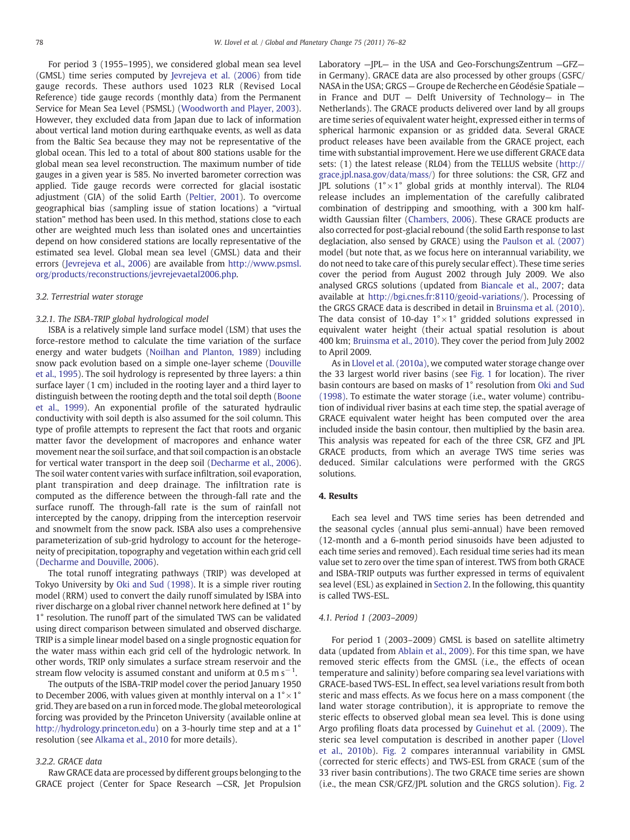For period 3 (1955–1995), we considered global mean sea level (GMSL) time series computed by [Jevrejeva et al. \(2006\)](#page-6-0) from tide gauge records. These authors used 1023 RLR (Revised Local Reference) tide gauge records (monthly data) from the Permanent Service for Mean Sea Level (PSMSL) [\(Woodworth and Player, 2003](#page-6-0)). However, they excluded data from Japan due to lack of information about vertical land motion during earthquake events, as well as data from the Baltic Sea because they may not be representative of the global ocean. This led to a total of about 800 stations usable for the global mean sea level reconstruction. The maximum number of tide gauges in a given year is 585. No inverted barometer correction was applied. Tide gauge records were corrected for glacial isostatic adjustment (GIA) of the solid Earth [\(Peltier, 2001\)](#page-6-0). To overcome geographical bias (sampling issue of station locations) a "virtual station" method has been used. In this method, stations close to each other are weighted much less than isolated ones and uncertainties depend on how considered stations are locally representative of the estimated sea level. Global mean sea level (GMSL) data and their errors [\(Jevrejeva et al., 2006](#page-6-0)) are available from [http://www.psmsl.](http://www.psmsl.org/products/reconstructions/jevrejevaetal2006.php) [org/products/reconstructions/jevrejevaetal2006.php.](http://www.psmsl.org/products/reconstructions/jevrejevaetal2006.php)

### 3.2. Terrestrial water storage

# 3.2.1. The ISBA-TRIP global hydrological model

ISBA is a relatively simple land surface model (LSM) that uses the force-restore method to calculate the time variation of the surface energy and water budgets ([Noilhan and Planton, 1989](#page-6-0)) including snow pack evolution based on a simple one-layer scheme ([Douville](#page-6-0) [et al., 1995\)](#page-6-0). The soil hydrology is represented by three layers: a thin surface layer (1 cm) included in the rooting layer and a third layer to distinguish between the rooting depth and the total soil depth [\(Boone](#page-6-0) [et al., 1999](#page-6-0)). An exponential profile of the saturated hydraulic conductivity with soil depth is also assumed for the soil column. This type of profile attempts to represent the fact that roots and organic matter favor the development of macropores and enhance water movement near the soil surface, and that soil compaction is an obstacle for vertical water transport in the deep soil [\(Decharme et al., 2006](#page-6-0)). The soil water content varies with surface infiltration, soil evaporation, plant transpiration and deep drainage. The infiltration rate is computed as the difference between the through-fall rate and the surface runoff. The through-fall rate is the sum of rainfall not intercepted by the canopy, dripping from the interception reservoir and snowmelt from the snow pack. ISBA also uses a comprehensive parameterization of sub-grid hydrology to account for the heterogeneity of precipitation, topography and vegetation within each grid cell [\(Decharme and Douville, 2006\)](#page-6-0).

The total runoff integrating pathways (TRIP) was developed at Tokyo University by [Oki and Sud \(1998\)](#page-6-0). It is a simple river routing model (RRM) used to convert the daily runoff simulated by ISBA into river discharge on a global river channel network here defined at 1° by 1° resolution. The runoff part of the simulated TWS can be validated using direct comparison between simulated and observed discharge. TRIP is a simple linear model based on a single prognostic equation for the water mass within each grid cell of the hydrologic network. In other words, TRIP only simulates a surface stream reservoir and the stream flow velocity is assumed constant and uniform at 0.5 m s<sup>-1</sup>.

The outputs of the ISBA-TRIP model cover the period January 1950 to December 2006, with values given at monthly interval on a  $1^{\circ} \times 1^{\circ}$ grid. They are based on a run in forced mode. The global meteorological forcing was provided by the Princeton University (available online at [http://hydrology.princeton.edu\)](http://hydrology.princeton.edu) on a 3-hourly time step and at a 1<sup>°</sup> resolution (see [Alkama et al., 2010](#page-5-0) for more details).

# 3.2.2. GRACE data

Raw GRACE data are processed by different groups belonging to the GRACE project (Center for Space Research —CSR, Jet Propulsion

Laboratory —JPL— in the USA and Geo-ForschungsZentrum —GFZ in Germany). GRACE data are also processed by other groups (GSFC/ NASA in the USA; GRGS — Groupe de Recherche en Géodésie Spatiale in France and DUT — Delft University of Technology— in The Netherlands). The GRACE products delivered over land by all groups are time series of equivalent water height, expressed either in terms of spherical harmonic expansion or as gridded data. Several GRACE product releases have been available from the GRACE project, each time with substantial improvement. Here we use different GRACE data sets: (1) the latest release (RL04) from the TELLUS website ([http://](http://grace.jpl.nasa.gov/data/mass/) [grace.jpl.nasa.gov/data/mass/](http://grace.jpl.nasa.gov/data/mass/)) for three solutions: the CSR, GFZ and JPL solutions  $(1^{\circ} \times 1^{\circ}$  global grids at monthly interval). The RL04 release includes an implementation of the carefully calibrated combination of destripping and smoothing, with a 300 km halfwidth Gaussian filter [\(Chambers, 2006\)](#page-6-0). These GRACE products are also corrected for post-glacial rebound (the solid Earth response to last deglaciation, also sensed by GRACE) using the [Paulson et al. \(2007\)](#page-6-0) model (but note that, as we focus here on interannual variability, we do not need to take care of this purely secular effect). These time series cover the period from August 2002 through July 2009. We also analysed GRGS solutions (updated from [Biancale et al., 2007;](#page-6-0) data available at [http://bgi.cnes.fr:8110/geoid-variations/\)](http://bgi.cnes.fr:8110/geoid-variations/). Processing of the GRGS GRACE data is described in detail in [Bruinsma et al. \(2010\).](#page-6-0) The data consist of 10-day  $1^{\circ} \times 1^{\circ}$  gridded solutions expressed in equivalent water height (their actual spatial resolution is about 400 km; [Bruinsma et al., 2010](#page-6-0)). They cover the period from July 2002 to April 2009.

As in [Llovel et al. \(2010a\),](#page-6-0) we computed water storage change over the 33 largest world river basins (see [Fig. 1](#page-3-0) for location). The river basin contours are based on masks of 1° resolution from [Oki and Sud](#page-6-0) [\(1998\).](#page-6-0) To estimate the water storage (i.e., water volume) contribution of individual river basins at each time step, the spatial average of GRACE equivalent water height has been computed over the area included inside the basin contour, then multiplied by the basin area. This analysis was repeated for each of the three CSR, GFZ and JPL GRACE products, from which an average TWS time series was deduced. Similar calculations were performed with the GRGS solutions.

## 4. Results

Each sea level and TWS time series has been detrended and the seasonal cycles (annual plus semi-annual) have been removed (12-month and a 6-month period sinusoids have been adjusted to each time series and removed). Each residual time series had its mean value set to zero over the time span of interest. TWS from both GRACE and ISBA-TRIP outputs was further expressed in terms of equivalent sea level (ESL) as explained in [Section 2](#page-1-0). In the following, this quantity is called TWS-ESL.

# 4.1. Period 1 (2003–2009)

For period 1 (2003–2009) GMSL is based on satellite altimetry data (updated from [Ablain et al., 2009](#page-5-0)). For this time span, we have removed steric effects from the GMSL (i.e., the effects of ocean temperature and salinity) before comparing sea level variations with GRACE-based TWS-ESL. In effect, sea level variations result from both steric and mass effects. As we focus here on a mass component (the land water storage contribution), it is appropriate to remove the steric effects to observed global mean sea level. This is done using Argo profiling floats data processed by [Guinehut et al. \(2009\).](#page-6-0) The steric sea level computation is described in another paper ([Llovel](#page-6-0) [et al., 2010b\)](#page-6-0). [Fig. 2](#page-3-0) compares interannual variability in GMSL (corrected for steric effects) and TWS-ESL from GRACE (sum of the 33 river basin contributions). The two GRACE time series are shown (i.e., the mean CSR/GFZ/JPL solution and the GRGS solution). [Fig. 2](#page-3-0)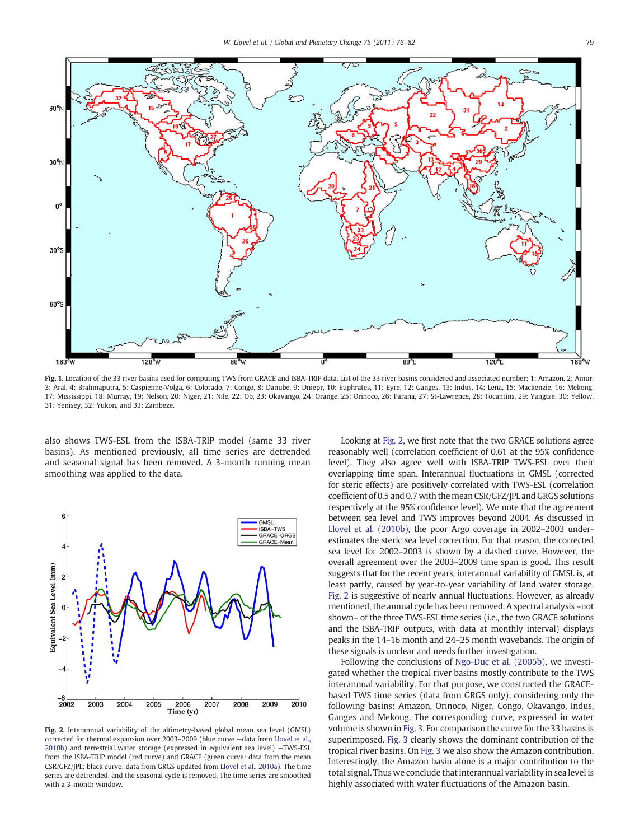<span id="page-3-0"></span>

Fig. 1. Location of the 33 river basins used for computing TWS from GRACE and ISBA-TRIP data. List of the 33 river basins considered and associated number: 1: Amazon, 2: Amur, 3: Aral, 4: Brahmaputra, 5: Caspienne/Volga, 6: Colorado, 7: Congo, 8: Danube, 9: Dniepr, 10: Euphrates, 11: Eyre, 12: Ganges, 13: Indus, 14: Lena, 15: Mackenzie, 16: Mekong, 17: Mississippi, 18: Murray, 19: Nelson, 20: Niger, 21: Nile, 22: Ob, 23: Okavango, 24: Orange, 25: Orinoco, 26: Parana, 27: St-Lawrence, 28: Tocantins, 29: Yangtze, 30: Yellow, 31: Yenisey, 32: Yukon, and 33: Zambeze.

also shows TWS-ESL from the ISBA-TRIP model (same 33 river basins). As mentioned previously, all time series are detrended and seasonal signal has been removed. A 3-month running mean smoothing was applied to the data.



Fig. 2. Interannual variability of the altimetry-based global mean sea level (GMSL) corrected for thermal expansion over 2003–2009 (blue curve —data from [Llovel et al.,](#page-6-0) [2010b\)](#page-6-0) and terrestrial water storage (expressed in equivalent sea level) —TWS-ESL from the ISBA-TRIP model (red curve) and GRACE (green curve: data from the mean CSR/GFZ/JPL; black curve: data from GRGS updated from [Llovel et al., 2010a](#page-6-0)). The time series are detrended, and the seasonal cycle is removed. The time series are smoothed with a 3-month window.

Looking at Fig. 2, we first note that the two GRACE solutions agree reasonably well (correlation coefficient of 0.61 at the 95% confidence level). They also agree well with ISBA-TRIP TWS-ESL over their overlapping time span. Interannual fluctuations in GMSL (corrected for steric effects) are positively correlated with TWS-ESL (correlation coefficient of 0.5 and 0.7 with the mean CSR/GFZ/JPL and GRGS solutions respectively at the 95% confidence level). We note that the agreement between sea level and TWS improves beyond 2004. As discussed in [Llovel et al. \(2010b\)](#page-6-0), the poor Argo coverage in 2002–2003 underestimates the steric sea level correction. For that reason, the corrected sea level for 2002–2003 is shown by a dashed curve. However, the overall agreement over the 2003–2009 time span is good. This result suggests that for the recent years, interannual variability of GMSL is, at least partly, caused by year-to-year variability of land water storage. Fig. 2 is suggestive of nearly annual fluctuations. However, as already mentioned, the annual cycle has been removed. A spectral analysis –not shown– of the three TWS-ESL time series (i.e., the two GRACE solutions and the ISBA-TRIP outputs, with data at monthly interval) displays peaks in the 14–16 month and 24–25 month wavebands. The origin of these signals is unclear and needs further investigation.

Following the conclusions of [Ngo-Duc et al. \(2005b\),](#page-6-0) we investigated whether the tropical river basins mostly contribute to the TWS interannual variability. For that purpose, we constructed the GRACEbased TWS time series (data from GRGS only), considering only the following basins: Amazon, Orinoco, Niger, Congo, Okavango, Indus, Ganges and Mekong. The corresponding curve, expressed in water volume is shown in [Fig. 3.](#page-4-0) For comparison the curve for the 33 basins is superimposed. [Fig. 3](#page-4-0) clearly shows the dominant contribution of the tropical river basins. On [Fig. 3](#page-4-0) we also show the Amazon contribution. Interestingly, the Amazon basin alone is a major contribution to the total signal. Thus we conclude that interannual variability in sea level is highly associated with water fluctuations of the Amazon basin.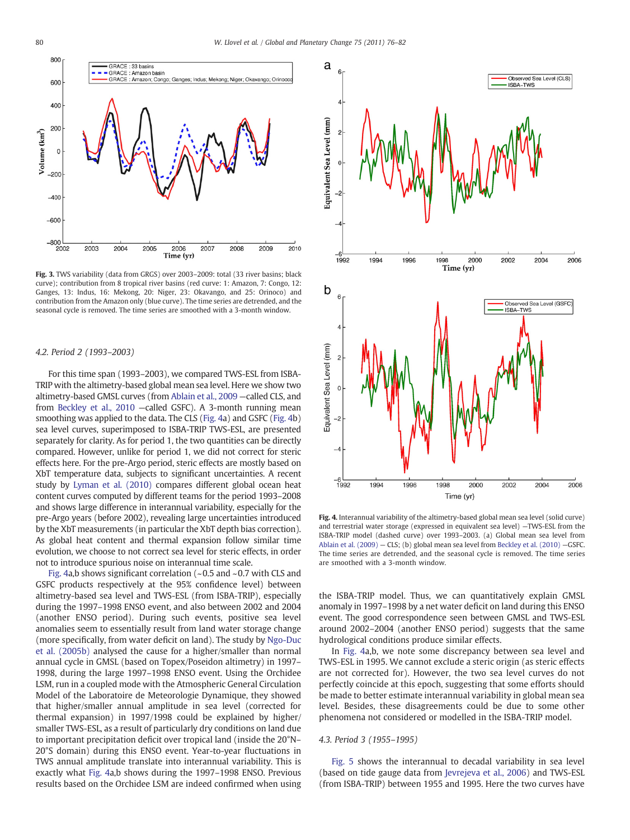<span id="page-4-0"></span>

Fig. 3. TWS variability (data from GRGS) over 2003–2009: total (33 river basins; black curve); contribution from 8 tropical river basins (red curve: 1: Amazon, 7: Congo, 12: Ganges, 13: Indus, 16: Mekong, 20: Niger, 23: Okavango, and 25: Orinoco) and contribution from the Amazon only (blue curve). The time series are detrended, and the seasonal cycle is removed. The time series are smoothed with a 3-month window.

# 4.2. Period 2 (1993–2003)

For this time span (1993–2003), we compared TWS-ESL from ISBA-TRIP with the altimetry-based global mean sea level. Here we show two altimetry-based GMSL curves (from [Ablain et al., 2009](#page-5-0) —called CLS, and from [Beckley et al., 2010](#page-6-0) —called GSFC). A 3-month running mean smoothing was applied to the data. The CLS (Fig. 4a) and GSFC (Fig. 4b) sea level curves, superimposed to ISBA-TRIP TWS-ESL, are presented separately for clarity. As for period 1, the two quantities can be directly compared. However, unlike for period 1, we did not correct for steric effects here. For the pre-Argo period, steric effects are mostly based on XbT temperature data, subjects to significant uncertainties. A recent study by [Lyman et al. \(2010\)](#page-6-0) compares different global ocean heat content curves computed by different teams for the period 1993–2008 and shows large difference in interannual variability, especially for the pre-Argo years (before 2002), revealing large uncertainties introduced by the XbT measurements (in particular the XbT depth bias correction). As global heat content and thermal expansion follow similar time evolution, we choose to not correct sea level for steric effects, in order not to introduce spurious noise on interannual time scale.

Fig. 4a,b shows significant correlation (~0.5 and ~0.7 with CLS and GSFC products respectively at the 95% confidence level) between altimetry-based sea level and TWS-ESL (from ISBA-TRIP), especially during the 1997–1998 ENSO event, and also between 2002 and 2004 (another ENSO period). During such events, positive sea level anomalies seem to essentially result from land water storage change (more specifically, from water deficit on land). The study by [Ngo-Duc](#page-6-0) [et al. \(2005b\)](#page-6-0) analysed the cause for a higher/smaller than normal annual cycle in GMSL (based on Topex/Poseidon altimetry) in 1997– 1998, during the large 1997–1998 ENSO event. Using the Orchidee LSM, run in a coupled mode with the Atmospheric General Circulation Model of the Laboratoire de Meteorologie Dynamique, they showed that higher/smaller annual amplitude in sea level (corrected for thermal expansion) in 1997/1998 could be explained by higher/ smaller TWS-ESL, as a result of particularly dry conditions on land due to important precipitation deficit over tropical land (inside the 20°N– 20°S domain) during this ENSO event. Year-to-year fluctuations in TWS annual amplitude translate into interannual variability. This is exactly what Fig. 4a,b shows during the 1997–1998 ENSO. Previous results based on the Orchidee LSM are indeed confirmed when using



Fig. 4. Interannual variability of the altimetry-based global mean sea level (solid curve) and terrestrial water storage (expressed in equivalent sea level) —TWS-ESL from the ISBA-TRIP model (dashed curve) over 1993–2003. (a) Global mean sea level from [Ablain et al. \(2009\)](#page-5-0) — CLS; (b) global mean sea level from [Beckley et al. \(2010\)](#page-6-0) —GSFC. The time series are detrended, and the seasonal cycle is removed. The time series are smoothed with a 3-month window.

the ISBA-TRIP model. Thus, we can quantitatively explain GMSL anomaly in 1997–1998 by a net water deficit on land during this ENSO event. The good correspondence seen between GMSL and TWS-ESL around 2002–2004 (another ENSO period) suggests that the same hydrological conditions produce similar effects.

In Fig. 4a,b, we note some discrepancy between sea level and TWS-ESL in 1995. We cannot exclude a steric origin (as steric effects are not corrected for). However, the two sea level curves do not perfectly coincide at this epoch, suggesting that some efforts should be made to better estimate interannual variability in global mean sea level. Besides, these disagreements could be due to some other phenomena not considered or modelled in the ISBA-TRIP model.

# 4.3. Period 3 (1955–1995)

[Fig. 5](#page-5-0) shows the interannual to decadal variability in sea level (based on tide gauge data from [Jevrejeva et al., 2006\)](#page-6-0) and TWS-ESL (from ISBA-TRIP) between 1955 and 1995. Here the two curves have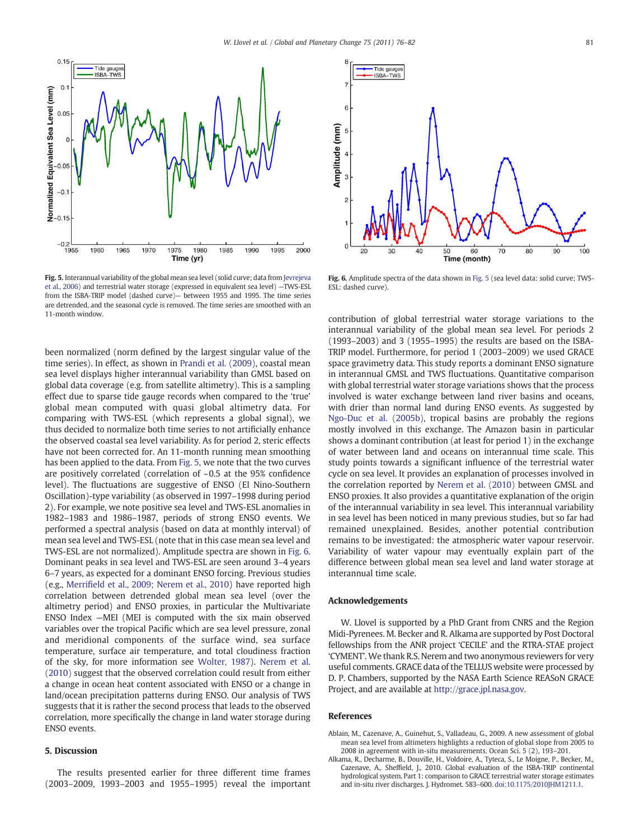<span id="page-5-0"></span>

Fig. 5. Interannual variability of the global mean sea level (solid curve; data from [Jevrejeva](#page-6-0) [et al., 2006\)](#page-6-0) and terrestrial water storage (expressed in equivalent sea level) —TWS-ESL from the ISBA-TRIP model (dashed curve)— between 1955 and 1995. The time series are detrended, and the seasonal cycle is removed. The time series are smoothed with an 11-month window.

been normalized (norm defined by the largest singular value of the time series). In effect, as shown in [Prandi et al. \(2009\),](#page-6-0) coastal mean sea level displays higher interannual variability than GMSL based on global data coverage (e.g. from satellite altimetry). This is a sampling effect due to sparse tide gauge records when compared to the 'true' global mean computed with quasi global altimetry data. For comparing with TWS-ESL (which represents a global signal), we thus decided to normalize both time series to not artificially enhance the observed coastal sea level variability. As for period 2, steric effects have not been corrected for. An 11-month running mean smoothing has been applied to the data. From Fig. 5, we note that the two curves are positively correlated (correlation of  $\sim$  0.5 at the 95% confidence level). The fluctuations are suggestive of ENSO (El Nino-Southern Oscillation)-type variability (as observed in 1997–1998 during period 2). For example, we note positive sea level and TWS-ESL anomalies in 1982–1983 and 1986–1987, periods of strong ENSO events. We performed a spectral analysis (based on data at monthly interval) of mean sea level and TWS-ESL (note that in this case mean sea level and TWS-ESL are not normalized). Amplitude spectra are shown in Fig. 6. Dominant peaks in sea level and TWS-ESL are seen around 3–4 years 6–7 years, as expected for a dominant ENSO forcing. Previous studies (e.g., Merrifi[eld et al., 2009; Nerem et al., 2010\)](#page-6-0) have reported high correlation between detrended global mean sea level (over the altimetry period) and ENSO proxies, in particular the Multivariate ENSO Index —MEI (MEI is computed with the six main observed variables over the tropical Pacific which are sea level pressure, zonal and meridional components of the surface wind, sea surface temperature, surface air temperature, and total cloudiness fraction of the sky, for more information see [Wolter, 1987\)](#page-6-0). [Nerem et al.](#page-6-0) [\(2010\)](#page-6-0) suggest that the observed correlation could result from either a change in ocean heat content associated with ENSO or a change in land/ocean precipitation patterns during ENSO. Our analysis of TWS suggests that it is rather the second process that leads to the observed correlation, more specifically the change in land water storage during ENSO events.

# 5. Discussion

The results presented earlier for three different time frames (2003–2009, 1993–2003 and 1955–1995) reveal the important



Fig. 6. Amplitude spectra of the data shown in Fig. 5 (sea level data: solid curve; TWS-ESL: dashed curve).

contribution of global terrestrial water storage variations to the interannual variability of the global mean sea level. For periods 2 (1993–2003) and 3 (1955–1995) the results are based on the ISBA-TRIP model. Furthermore, for period 1 (2003–2009) we used GRACE space gravimetry data. This study reports a dominant ENSO signature in interannual GMSL and TWS fluctuations. Quantitative comparison with global terrestrial water storage variations shows that the process involved is water exchange between land river basins and oceans, with drier than normal land during ENSO events. As suggested by [Ngo-Duc et al. \(2005b\),](#page-6-0) tropical basins are probably the regions mostly involved in this exchange. The Amazon basin in particular shows a dominant contribution (at least for period 1) in the exchange of water between land and oceans on interannual time scale. This study points towards a significant influence of the terrestrial water cycle on sea level. It provides an explanation of processes involved in the correlation reported by [Nerem et al. \(2010\)](#page-6-0) between GMSL and ENSO proxies. It also provides a quantitative explanation of the origin of the interannual variability in sea level. This interannual variability in sea level has been noticed in many previous studies, but so far had remained unexplained. Besides, another potential contribution remains to be investigated: the atmospheric water vapour reservoir. Variability of water vapour may eventually explain part of the difference between global mean sea level and land water storage at interannual time scale.

# Acknowledgements

W. Llovel is supported by a PhD Grant from CNRS and the Region Midi-Pyrenees. M. Becker and R. Alkama are supported by Post Doctoral fellowships from the ANR project 'CECILE' and the RTRA-STAE project 'CYMENT'. We thank R.S. Nerem and two anonymous reviewers for very useful comments. GRACE data of the TELLUS website were processed by D. P. Chambers, supported by the NASA Earth Science REASoN GRACE Project, and are available at [http://grace.jpl.nasa.gov.](http://grace.jpl.nasa.gov)

# References

- Ablain, M., Cazenave, A., Guinehut, S., Valladeau, G., 2009. A new assessment of global mean sea level from altimeters highlights a reduction of global slope from 2005 to 2008 in agreement with in-situ measurements. Ocean Sci. 5 (2), 193–201.
- Alkama, R., Decharme, B., Douville, H., Voldoire, A., Tyteca, S., Le Moigne, P., Becker, M., Cazenave, A., Sheffield, J., 2010. Global evaluation of the ISBA-TRIP continental hydrological system. Part 1: comparison to GRACE terrestrial water storage estimates and in-situ river discharges. J. Hydromet. 583–600. doi[:10.1175/2010JHM1211.1.](http://dx.doi.org/10.1175/2010JHM1211.1)